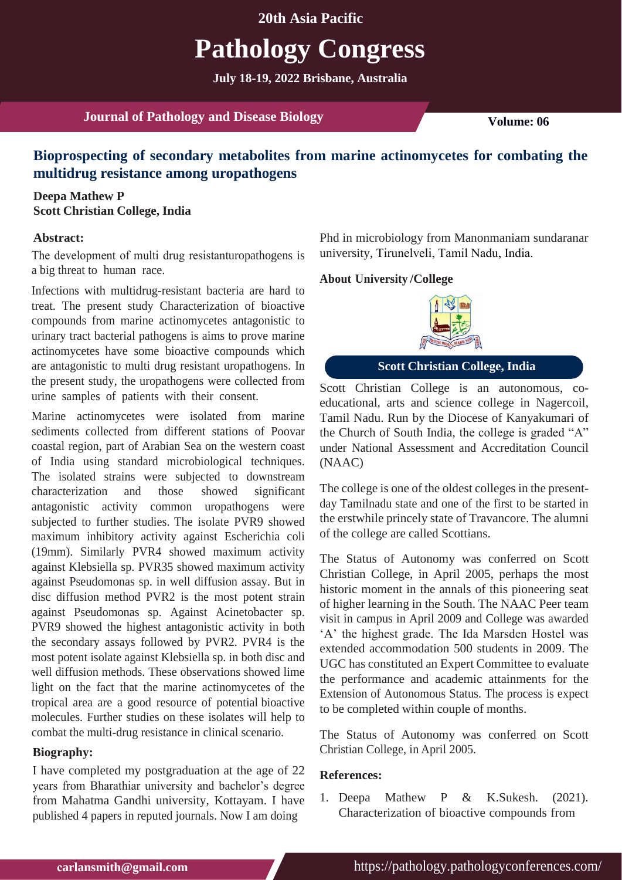## **20th Asia Pacific**

# **Pathology Congress**

**July 18-19, 2022 Brisbane, Australia**

**Journal of Pathology and Disease Biology Volume:** 06

# **Bioprospecting of secondary metabolites from marine actinomycetes for combating the multidrug resistance among uropathogens**

### **Deepa Mathew P Scott Christian College, India**

#### **Abstract:**

The development of multi drug resistanturopathogens is a big threat to human race.

Infections with multidrug-resistant bacteria are hard to treat. The present study Characterization of bioactive compounds from marine actinomycetes antagonistic to urinary tract bacterial pathogens is aims to prove marine actinomycetes have some bioactive compounds which are antagonistic to multi drug resistant uropathogens. In the present study, the uropathogens were collected from urine samples of patients with their consent.

Marine actinomycetes were isolated from marine sediments collected from different stations of Poovar coastal region, part of Arabian Sea on the western coast of India using standard microbiological techniques. The isolated strains were subjected to downstream characterization and those showed significant antagonistic activity common uropathogens were subjected to further studies. The isolate PVR9 showed maximum inhibitory activity against Escherichia coli (19mm). Similarly PVR4 showed maximum activity against Klebsiella sp. PVR35 showed maximum activity against Pseudomonas sp. in well diffusion assay. But in disc diffusion method PVR2 is the most potent strain against Pseudomonas sp. Against Acinetobacter sp. PVR9 showed the highest antagonistic activity in both the secondary assays followed by PVR2. PVR4 is the most potent isolate against Klebsiella sp. in both disc and well diffusion methods. These observations showed lime light on the fact that the marine actinomycetes of the tropical area are a good resource of potential bioactive molecules. Further studies on these isolates will help to combat the multi-drug resistance in clinical scenario.

#### **Biography:**

I have completed my postgraduation at the age of 22 years from Bharathiar university and bachelor's degree from Mahatma Gandhi university, Kottayam. I have published 4 papers in reputed journals. Now I am doing

Phd in microbiology from Manonmaniam sundaranar university, Tirunelveli, Tamil Nadu, India.

#### **/College About University**



**Scott Christian College, India**

Scott Christian College is an autonomous, coeducational, arts and science college in Nagercoil, Tamil Nadu. Run by the Diocese of Kanyakumari of the Church of South India, the college is graded "A" under National Assessment and Accreditation Council (NAAC)

The college is one of the oldest colleges in the presentday Tamilnadu state and one of the first to be started in the erstwhile princely state of Travancore. The alumni of the college are called Scottians.

The Status of Autonomy was conferred on Scott Christian College, in April 2005, perhaps the most historic moment in the annals of this pioneering seat of higher learning in the South. The NAAC Peer team visit in campus in April 2009 and College was awarded 'A' the highest grade. The Ida Marsden Hostel was extended accommodation 500 students in 2009. The UGC has constituted an Expert Committee to evaluate the performance and academic attainments for the Extension of Autonomous Status. The process is expect to be completed within couple of months.

The Status of Autonomy was conferred on Scott Christian College, in April 2005.

#### **References:**

1. Deepa Mathew P & K.Sukesh. (2021). Characterization of bioactive compounds from